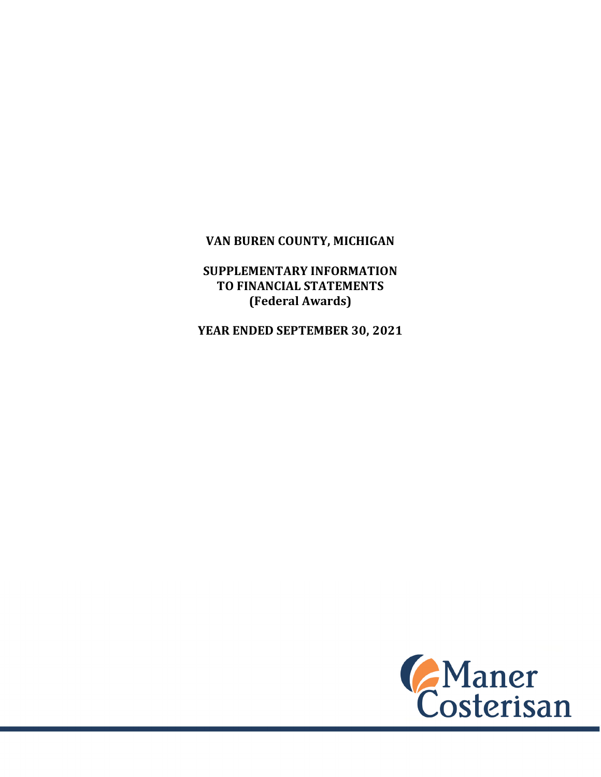# **VAN BUREN COUNTY, MICHIGAN**

**SUPPLEMENTARY INFORMATION TO FINANCIAL STATEMENTS (Federal Awards)**

**YEAR ENDED SEPTEMBER 30, 2021**

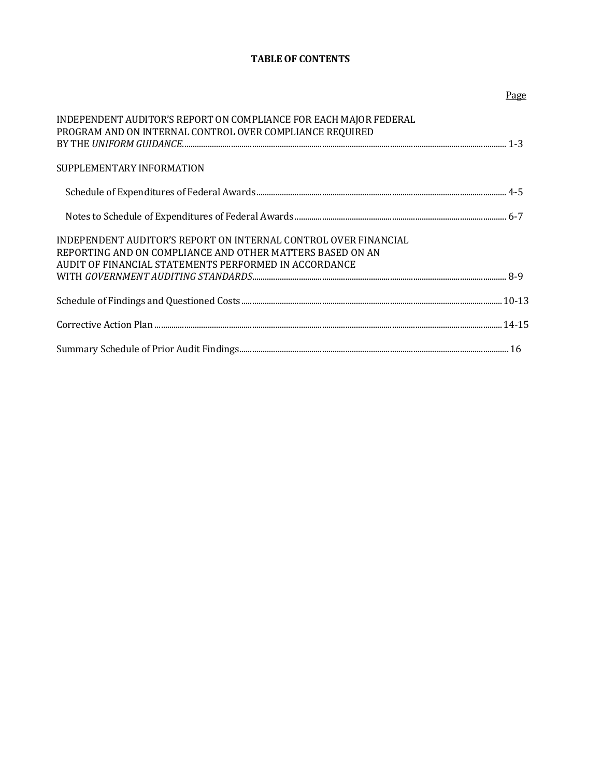### **TABLE OF CONTENTS**

| INDEPENDENT AUDITOR'S REPORT ON COMPLIANCE FOR EACH MAJOR FEDERAL<br>PROGRAM AND ON INTERNAL CONTROL OVER COMPLIANCE REQUIRED                                                                                                                    |
|--------------------------------------------------------------------------------------------------------------------------------------------------------------------------------------------------------------------------------------------------|
| SUPPLEMENTARY INFORMATION                                                                                                                                                                                                                        |
|                                                                                                                                                                                                                                                  |
|                                                                                                                                                                                                                                                  |
| INDEPENDENT AUDITOR'S REPORT ON INTERNAL CONTROL OVER FINANCIAL<br>REPORTING AND ON COMPLIANCE AND OTHER MATTERS BASED ON AN<br>AUDIT OF FINANCIAL STATEMENTS PERFORMED IN ACCORDANCE<br>with Government auditions of the change in hospitalism. |
|                                                                                                                                                                                                                                                  |
|                                                                                                                                                                                                                                                  |
|                                                                                                                                                                                                                                                  |

#### Page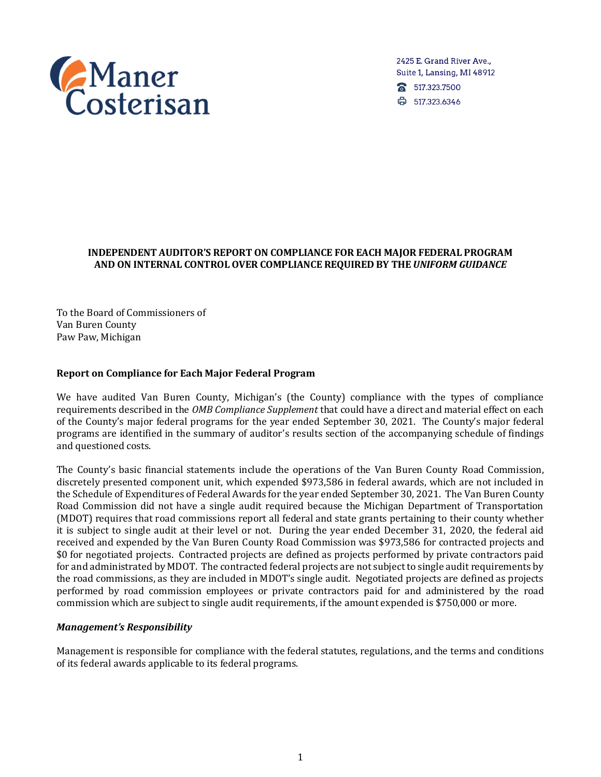

2425 E. Grand River Ave., Suite 1, Lansing, MI 48912

6 517.323.7500 ₿ 517.323.6346

### **INDEPENDENT AUDITOR'S REPORT ON COMPLIANCE FOR EACH MAJOR FEDERAL PROGRAM AND ON INTERNAL CONTROL OVER COMPLIANCE REQUIRED BY THE** *UNIFORM GUIDANCE*

To the Board of Commissioners of Van Buren County Paw Paw, Michigan

#### **Report on Compliance for Each Major Federal Program**

We have audited Van Buren County, Michigan's (the County) compliance with the types of compliance requirements described in the *OMB Compliance Supplement* that could have a direct and material effect on each of the County's major federal programs for the year ended September 30, 2021. The County's major federal programs are identified in the summary of auditor's results section of the accompanying schedule of findings and questioned costs.

The County's basic financial statements include the operations of the Van Buren County Road Commission, discretely presented component unit, which expended \$973,586 in federal awards, which are not included in the Schedule of Expenditures of Federal Awards for the year ended September 30, 2021. The Van Buren County Road Commission did not have a single audit required because the Michigan Department of Transportation (MDOT) requires that road commissions report all federal and state grants pertaining to their county whether it is subject to single audit at their level or not. During the year ended December 31, 2020, the federal aid received and expended by the Van Buren County Road Commission was \$973,586 for contracted projects and \$0 for negotiated projects. Contracted projects are defined as projects performed by private contractors paid for and administrated by MDOT. The contracted federal projects are not subject to single audit requirements by the road commissions, as they are included in MDOT's single audit. Negotiated projects are defined as projects performed by road commission employees or private contractors paid for and administered by the road commission which are subject to single audit requirements, if the amount expended is \$750,000 or more.

#### *Management's Responsibility*

Management is responsible for compliance with the federal statutes, regulations, and the terms and conditions of its federal awards applicable to its federal programs.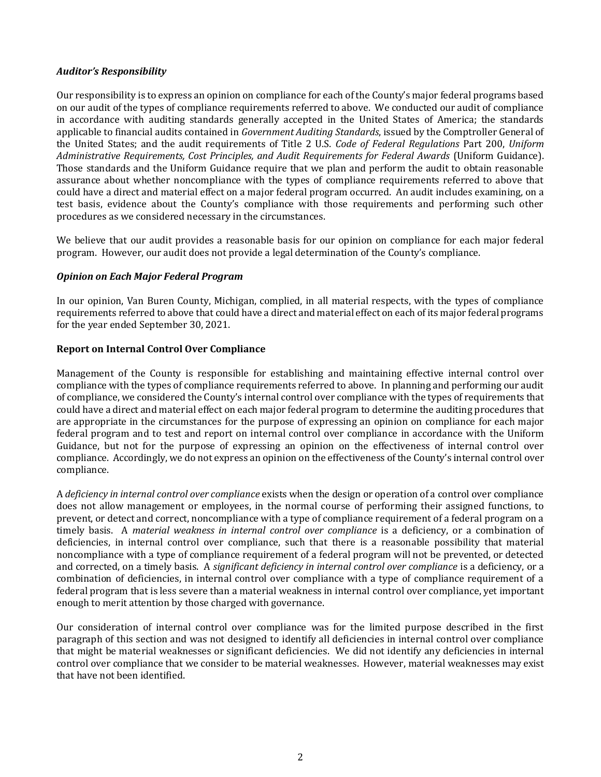### *Auditor's Responsibility*

Our responsibility is to express an opinion on compliance for each of the County's major federal programs based on our audit of the types of compliance requirements referred to above. We conducted our audit of compliance in accordance with auditing standards generally accepted in the United States of America; the standards applicable to financial audits contained in *Government Auditing Standards*, issued by the Comptroller General of the United States; and the audit requirements of Title 2 U.S. *Code of Federal Regulations* Part 200, *Uniform Administrative Requirements, Cost Principles, and Audit Requirements for Federal Awards* (Uniform Guidance). Those standards and the Uniform Guidance require that we plan and perform the audit to obtain reasonable assurance about whether noncompliance with the types of compliance requirements referred to above that could have a direct and material effect on a major federal program occurred. An audit includes examining, on a test basis, evidence about the County's compliance with those requirements and performing such other procedures as we considered necessary in the circumstances.

We believe that our audit provides a reasonable basis for our opinion on compliance for each major federal program. However, our audit does not provide a legal determination of the County's compliance.

#### *Opinion on Each Major Federal Program*

In our opinion, Van Buren County, Michigan, complied, in all material respects, with the types of compliance requirements referred to above that could have a direct and material effect on each of its major federal programs for the year ended September 30, 2021.

#### **Report on Internal Control Over Compliance**

Management of the County is responsible for establishing and maintaining effective internal control over compliance with the types of compliance requirements referred to above. In planning and performing our audit of compliance, we considered the County's internal control over compliance with the types of requirements that could have a direct and material effect on each major federal program to determine the auditing procedures that are appropriate in the circumstances for the purpose of expressing an opinion on compliance for each major federal program and to test and report on internal control over compliance in accordance with the Uniform Guidance, but not for the purpose of expressing an opinion on the effectiveness of internal control over compliance. Accordingly, we do not express an opinion on the effectiveness of the County's internal control over compliance.

A *deficiency in internal control over compliance* exists when the design or operation of a control over compliance does not allow management or employees, in the normal course of performing their assigned functions, to prevent, or detect and correct, noncompliance with a type of compliance requirement of a federal program on a timely basis. A *material weakness in internal control over compliance* is a deficiency, or a combination of deficiencies, in internal control over compliance, such that there is a reasonable possibility that material noncompliance with a type of compliance requirement of a federal program will not be prevented, or detected and corrected, on a timely basis. A *significant deficiency in internal control over compliance* is a deficiency, or a combination of deficiencies, in internal control over compliance with a type of compliance requirement of a federal program that is less severe than a material weakness in internal control over compliance, yet important enough to merit attention by those charged with governance.

Our consideration of internal control over compliance was for the limited purpose described in the first paragraph of this section and was not designed to identify all deficiencies in internal control over compliance that might be material weaknesses or significant deficiencies. We did not identify any deficiencies in internal control over compliance that we consider to be material weaknesses. However, material weaknesses may exist that have not been identified.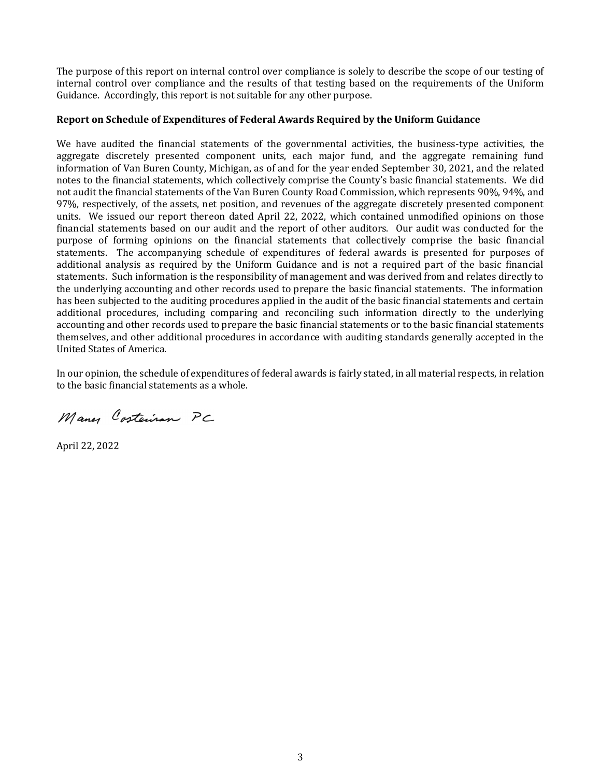The purpose of this report on internal control over compliance is solely to describe the scope of our testing of internal control over compliance and the results of that testing based on the requirements of the Uniform Guidance. Accordingly, this report is not suitable for any other purpose.

### **Report on Schedule of Expenditures of Federal Awards Required by the Uniform Guidance**

We have audited the financial statements of the governmental activities, the business-type activities, the aggregate discretely presented component units, each major fund, and the aggregate remaining fund information of Van Buren County, Michigan, as of and for the year ended September 30, 2021, and the related notes to the financial statements, which collectively comprise the County's basic financial statements. We did not audit the financial statements of the Van Buren County Road Commission, which represents 90%, 94%, and 97%, respectively, of the assets, net position, and revenues of the aggregate discretely presented component units. We issued our report thereon dated April 22, 2022, which contained unmodified opinions on those financial statements based on our audit and the report of other auditors. Our audit was conducted for the purpose of forming opinions on the financial statements that collectively comprise the basic financial statements. The accompanying schedule of expenditures of federal awards is presented for purposes of additional analysis as required by the Uniform Guidance and is not a required part of the basic financial statements. Such information is the responsibility of management and was derived from and relates directly to the underlying accounting and other records used to prepare the basic financial statements. The information has been subjected to the auditing procedures applied in the audit of the basic financial statements and certain additional procedures, including comparing and reconciling such information directly to the underlying accounting and other records used to prepare the basic financial statements or to the basic financial statements themselves, and other additional procedures in accordance with auditing standards generally accepted in the United States of America.

In our opinion, the schedule of expenditures of federal awards is fairly stated, in all material respects, in relation to the basic financial statements as a whole.

Many Costeinan PC

April 22, 2022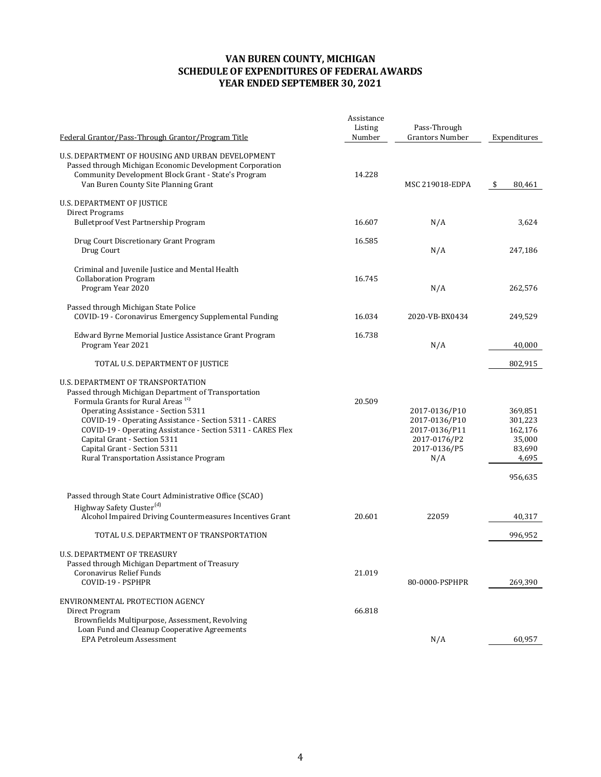### **VAN BUREN COUNTY, MICHIGAN SCHEDULE OF EXPENDITURES OF FEDERAL AWARDS YEAR ENDED SEPTEMBER 30, 2021**

| Federal Grantor/Pass-Through Grantor/Program Title                                                                                                                                                                                                                                                                                                                                                                           | Assistance<br>Listing<br>Number | Pass-Through<br><b>Grantors Number</b>                                                 | Expenditures                                               |
|------------------------------------------------------------------------------------------------------------------------------------------------------------------------------------------------------------------------------------------------------------------------------------------------------------------------------------------------------------------------------------------------------------------------------|---------------------------------|----------------------------------------------------------------------------------------|------------------------------------------------------------|
| U.S. DEPARTMENT OF HOUSING AND URBAN DEVELOPMENT<br>Passed through Michigan Economic Development Corporation<br>Community Development Block Grant - State's Program<br>Van Buren County Site Planning Grant                                                                                                                                                                                                                  | 14.228                          | <b>MSC 219018-EDPA</b>                                                                 | \$<br>80,461                                               |
| U.S. DEPARTMENT OF JUSTICE<br><b>Direct Programs</b><br><b>Bulletproof Vest Partnership Program</b>                                                                                                                                                                                                                                                                                                                          | 16.607                          | N/A                                                                                    | 3,624                                                      |
| Drug Court Discretionary Grant Program<br>Drug Court                                                                                                                                                                                                                                                                                                                                                                         | 16.585                          | N/A                                                                                    | 247,186                                                    |
| Criminal and Juvenile Justice and Mental Health<br><b>Collaboration Program</b><br>Program Year 2020                                                                                                                                                                                                                                                                                                                         | 16.745                          | N/A                                                                                    | 262,576                                                    |
| Passed through Michigan State Police<br>COVID-19 - Coronavirus Emergency Supplemental Funding                                                                                                                                                                                                                                                                                                                                | 16.034                          | 2020-VB-BX0434                                                                         | 249,529                                                    |
| Edward Byrne Memorial Justice Assistance Grant Program<br>Program Year 2021                                                                                                                                                                                                                                                                                                                                                  | 16.738                          | N/A                                                                                    | 40,000                                                     |
| TOTAL U.S. DEPARTMENT OF JUSTICE                                                                                                                                                                                                                                                                                                                                                                                             |                                 |                                                                                        | 802,915                                                    |
| <b>U.S. DEPARTMENT OF TRANSPORTATION</b><br>Passed through Michigan Department of Transportation<br>Formula Grants for Rural Areas <sup>(c)</sup><br>Operating Assistance - Section 5311<br>COVID-19 - Operating Assistance - Section 5311 - CARES<br>COVID-19 - Operating Assistance - Section 5311 - CARES Flex<br>Capital Grant - Section 5311<br>Capital Grant - Section 5311<br>Rural Transportation Assistance Program | 20.509                          | 2017-0136/P10<br>2017-0136/P10<br>2017-0136/P11<br>2017-0176/P2<br>2017-0136/P5<br>N/A | 369,851<br>301,223<br>162,176<br>35,000<br>83,690<br>4,695 |
|                                                                                                                                                                                                                                                                                                                                                                                                                              |                                 |                                                                                        | 956,635                                                    |
| Passed through State Court Administrative Office (SCAO)<br>Highway Safety Cluster <sup>(d)</sup><br>Alcohol Impaired Driving Countermeasures Incentives Grant<br>TOTAL U.S. DEPARTMENT OF TRANSPORTATION                                                                                                                                                                                                                     | 20.601                          | 22059                                                                                  | 40,317<br>996,952                                          |
| <b>U.S. DEPARTMENT OF TREASURY</b><br>Passed through Michigan Department of Treasury<br>Coronavirus Relief Funds<br>COVID-19 - PSPHPR                                                                                                                                                                                                                                                                                        | 21.019                          | 80-0000-PSPHPR                                                                         | 269,390                                                    |
| ENVIRONMENTAL PROTECTION AGENCY<br>Direct Program<br>Brownfields Multipurpose, Assessment, Revolving<br>Loan Fund and Cleanup Cooperative Agreements                                                                                                                                                                                                                                                                         | 66.818                          |                                                                                        |                                                            |
| <b>EPA Petroleum Assessment</b>                                                                                                                                                                                                                                                                                                                                                                                              |                                 | N/A                                                                                    | 60,957                                                     |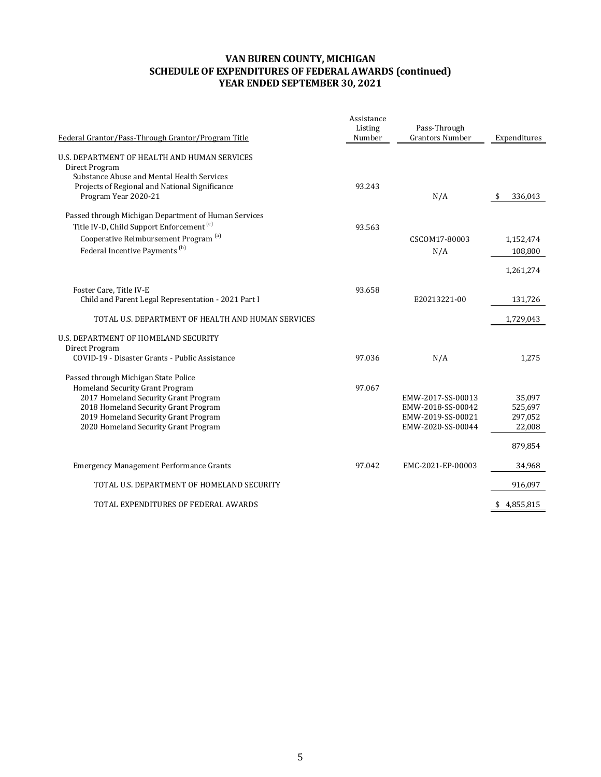#### **VAN BUREN COUNTY, MICHIGAN SCHEDULE OF EXPENDITURES OF FEDERAL AWARDS (continued) YEAR ENDED SEPTEMBER 30, 2021**

| Federal Grantor/Pass-Through Grantor/Program Title                                                                                                                                              | Assistance<br>Listing<br>Number | Pass-Through<br><b>Grantors Number</b>                                           | Expenditures                           |
|-------------------------------------------------------------------------------------------------------------------------------------------------------------------------------------------------|---------------------------------|----------------------------------------------------------------------------------|----------------------------------------|
| U.S. DEPARTMENT OF HEALTH AND HUMAN SERVICES<br>Direct Program<br>Substance Abuse and Mental Health Services<br>Projects of Regional and National Significance                                  | 93.243                          |                                                                                  |                                        |
| Program Year 2020-21                                                                                                                                                                            |                                 | N/A                                                                              | 336,043<br>\$                          |
| Passed through Michigan Department of Human Services<br>Title IV-D, Child Support Enforcement <sup>(c)</sup>                                                                                    | 93.563                          |                                                                                  |                                        |
| Cooperative Reimbursement Program <sup>(a)</sup>                                                                                                                                                |                                 | CSCOM17-80003                                                                    | 1,152,474                              |
| Federal Incentive Payments <sup>(b)</sup>                                                                                                                                                       |                                 | N/A                                                                              | 108,800                                |
|                                                                                                                                                                                                 |                                 |                                                                                  | 1,261,274                              |
| Foster Care, Title IV-E                                                                                                                                                                         | 93.658                          |                                                                                  |                                        |
| Child and Parent Legal Representation - 2021 Part I                                                                                                                                             |                                 | E20213221-00                                                                     | 131,726                                |
| TOTAL U.S. DEPARTMENT OF HEALTH AND HUMAN SERVICES                                                                                                                                              |                                 |                                                                                  | 1,729,043                              |
| U.S. DEPARTMENT OF HOMELAND SECURITY<br>Direct Program                                                                                                                                          |                                 |                                                                                  |                                        |
| COVID-19 - Disaster Grants - Public Assistance                                                                                                                                                  | 97.036                          | N/A                                                                              | 1,275                                  |
| Passed through Michigan State Police                                                                                                                                                            |                                 |                                                                                  |                                        |
| Homeland Security Grant Program<br>2017 Homeland Security Grant Program<br>2018 Homeland Security Grant Program<br>2019 Homeland Security Grant Program<br>2020 Homeland Security Grant Program | 97.067                          | EMW-2017-SS-00013<br>EMW-2018-SS-00042<br>EMW-2019-SS-00021<br>EMW-2020-SS-00044 | 35,097<br>525,697<br>297,052<br>22,008 |
|                                                                                                                                                                                                 |                                 |                                                                                  | 879,854                                |
| <b>Emergency Management Performance Grants</b>                                                                                                                                                  | 97.042                          | EMC-2021-EP-00003                                                                | 34,968                                 |
| TOTAL U.S. DEPARTMENT OF HOMELAND SECURITY                                                                                                                                                      |                                 |                                                                                  | 916,097                                |
| TOTAL EXPENDITURES OF FEDERAL AWARDS                                                                                                                                                            |                                 |                                                                                  | 4,855,815<br>\$                        |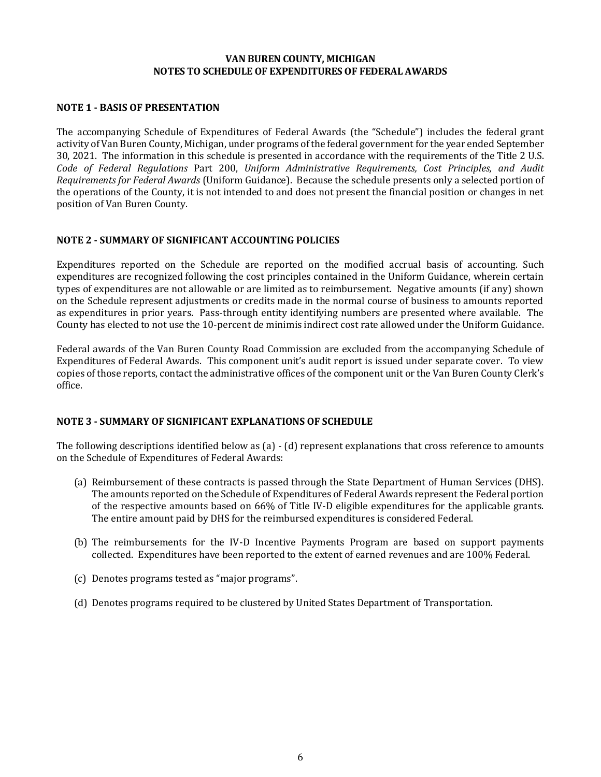#### **VAN BUREN COUNTY, MICHIGAN NOTES TO SCHEDULE OF EXPENDITURES OF FEDERAL AWARDS**

### **NOTE 1 - BASIS OF PRESENTATION**

The accompanying Schedule of Expenditures of Federal Awards (the "Schedule") includes the federal grant activity of Van Buren County, Michigan, under programs of the federal government for the year ended September 30, 2021. The information in this schedule is presented in accordance with the requirements of the Title 2 U.S. *Code of Federal Regulations* Part 200, *Uniform Administrative Requirements, Cost Principles, and Audit Requirements for Federal Awards* (Uniform Guidance). Because the schedule presents only a selected portion of the operations of the County, it is not intended to and does not present the financial position or changes in net position of Van Buren County.

### **NOTE 2 - SUMMARY OF SIGNIFICANT ACCOUNTING POLICIES**

Expenditures reported on the Schedule are reported on the modified accrual basis of accounting. Such expenditures are recognized following the cost principles contained in the Uniform Guidance, wherein certain types of expenditures are not allowable or are limited as to reimbursement. Negative amounts (if any) shown on the Schedule represent adjustments or credits made in the normal course of business to amounts reported as expenditures in prior years. Pass-through entity identifying numbers are presented where available. The County has elected to not use the 10-percent de minimis indirect cost rate allowed under the Uniform Guidance.

Federal awards of the Van Buren County Road Commission are excluded from the accompanying Schedule of Expenditures of Federal Awards. This component unit's audit report is issued under separate cover. To view copies of those reports, contact the administrative offices of the component unit or the Van Buren County Clerk's office.

### **NOTE 3 - SUMMARY OF SIGNIFICANT EXPLANATIONS OF SCHEDULE**

The following descriptions identified below as (a) - (d) represent explanations that cross reference to amounts on the Schedule of Expenditures of Federal Awards:

- (a) Reimbursement of these contracts is passed through the State Department of Human Services (DHS). The amounts reported on the Schedule of Expenditures of Federal Awards represent the Federal portion of the respective amounts based on 66% of Title IV-D eligible expenditures for the applicable grants. The entire amount paid by DHS for the reimbursed expenditures is considered Federal.
- (b) The reimbursements for the IV-D Incentive Payments Program are based on support payments collected. Expenditures have been reported to the extent of earned revenues and are 100% Federal.
- (c) Denotes programs tested as "major programs".
- (d) Denotes programs required to be clustered by United States Department of Transportation.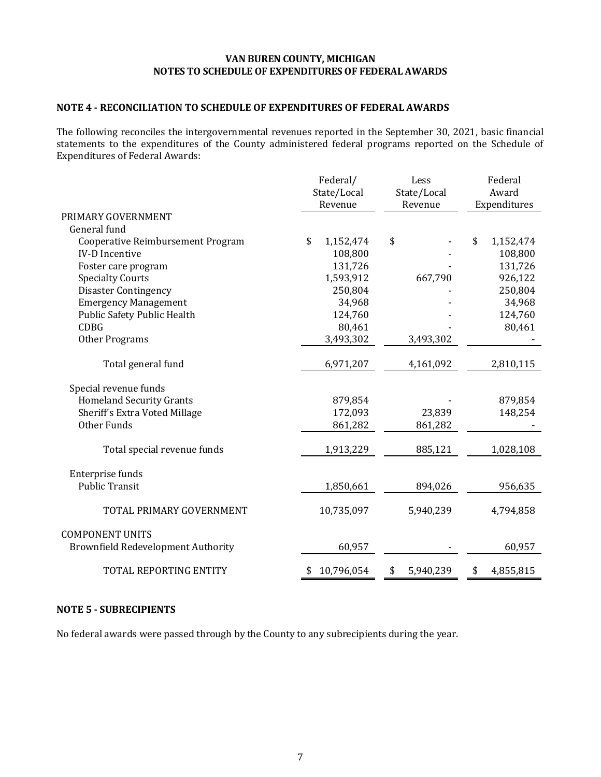#### **VAN BUREN COUNTY, MICHIGAN NOTES TO SCHEDULE OF EXPENDITURES OF FEDERAL AWARDS**

### **NOTE 4 - RECONCILIATION TO SCHEDULE OF EXPENDITURES OF FEDERAL AWARDS**

The following reconciles the intergovernmental revenues reported in the September 30, 2021, basic financial statements to the expenditures of the County administered federal programs reported on the Schedule of Expenditures of Federal Awards:

|                                           | Federal/<br>State/Local<br>Revenue | Less<br>State/Local<br>Revenue | Federal<br>Award<br>Expenditures |
|-------------------------------------------|------------------------------------|--------------------------------|----------------------------------|
| PRIMARY GOVERNMENT                        |                                    |                                |                                  |
| General fund                              |                                    |                                |                                  |
| Cooperative Reimbursement Program         | \$<br>1,152,474                    | \$                             | \$<br>1,152,474                  |
| <b>IV-D</b> Incentive                     | 108,800                            |                                | 108,800                          |
| Foster care program                       | 131,726                            |                                | 131,726                          |
| <b>Specialty Courts</b>                   | 1,593,912                          | 667,790                        | 926,122                          |
| <b>Disaster Contingency</b>               | 250,804                            |                                | 250,804                          |
| <b>Emergency Management</b>               | 34,968                             |                                | 34,968                           |
| Public Safety Public Health               | 124,760                            |                                | 124,760                          |
| <b>CDBG</b>                               | 80,461                             |                                | 80,461                           |
| Other Programs                            | 3,493,302                          | 3,493,302                      |                                  |
| Total general fund                        | 6,971,207                          | 4,161,092                      | 2,810,115                        |
| Special revenue funds                     |                                    |                                |                                  |
| <b>Homeland Security Grants</b>           | 879,854                            |                                | 879,854                          |
| Sheriff's Extra Voted Millage             | 172,093                            | 23,839                         | 148,254                          |
| Other Funds                               | 861,282                            | 861,282                        |                                  |
| Total special revenue funds               | 1,913,229                          | 885,121                        | 1,028,108                        |
| Enterprise funds                          |                                    |                                |                                  |
| <b>Public Transit</b>                     | 1,850,661                          | 894,026                        | 956,635                          |
| TOTAL PRIMARY GOVERNMENT                  | 10,735,097                         | 5,940,239                      | 4,794,858                        |
| <b>COMPONENT UNITS</b>                    |                                    |                                |                                  |
| <b>Brownfield Redevelopment Authority</b> | 60,957                             |                                | 60,957                           |
| TOTAL REPORTING ENTITY                    | 10,796,054                         | 5,940,239                      | \$<br>4,855,815                  |

#### **NOTE 5 - SUBRECIPIENTS**

No federal awards were passed through by the County to any subrecipients during the year.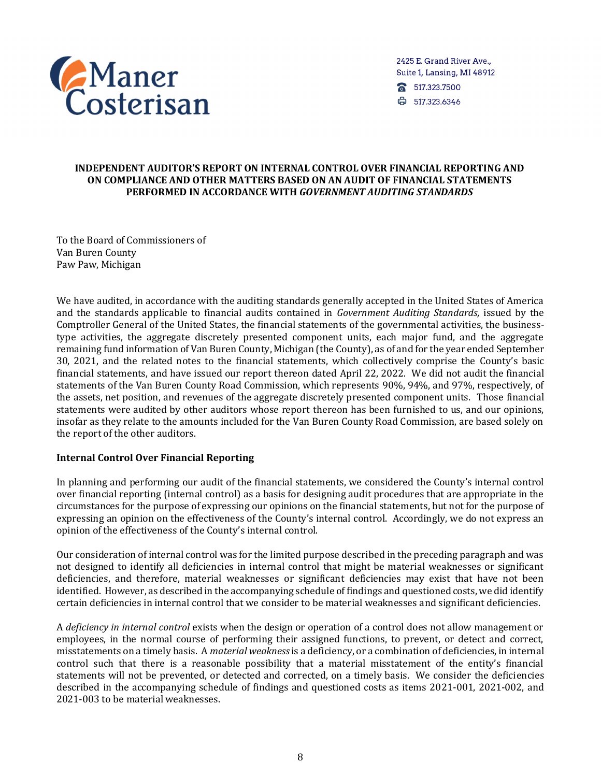

2425 E. Grand River Ave., Suite 1, Lansing, MI 48912

6 517.323.7500 ₿ 517.323.6346

### **INDEPENDENT AUDITOR'S REPORT ON INTERNAL CONTROL OVER FINANCIAL REPORTING AND ON COMPLIANCE AND OTHER MATTERS BASED ON AN AUDIT OF FINANCIAL STATEMENTS PERFORMED IN ACCORDANCE WITH** *GOVERNMENT AUDITING STANDARDS*

To the Board of Commissioners of Van Buren County Paw Paw, Michigan

We have audited, in accordance with the auditing standards generally accepted in the United States of America and the standards applicable to financial audits contained in *Government Auditing Standards,* issued by the Comptroller General of the United States, the financial statements of the governmental activities, the businesstype activities, the aggregate discretely presented component units, each major fund, and the aggregate remaining fund information of Van Buren County, Michigan (the County), as of and for the year ended September 30, 2021, and the related notes to the financial statements, which collectively comprise the County's basic financial statements, and have issued our report thereon dated April 22, 2022. We did not audit the financial statements of the Van Buren County Road Commission, which represents 90%, 94%, and 97%, respectively, of the assets, net position, and revenues of the aggregate discretely presented component units. Those financial statements were audited by other auditors whose report thereon has been furnished to us, and our opinions, insofar as they relate to the amounts included for the Van Buren County Road Commission, are based solely on the report of the other auditors.

### **Internal Control Over Financial Reporting**

In planning and performing our audit of the financial statements, we considered the County's internal control over financial reporting (internal control) as a basis for designing audit procedures that are appropriate in the circumstances for the purpose of expressing our opinions on the financial statements, but not for the purpose of expressing an opinion on the effectiveness of the County's internal control. Accordingly, we do not express an opinion of the effectiveness of the County's internal control.

Our consideration of internal control was for the limited purpose described in the preceding paragraph and was not designed to identify all deficiencies in internal control that might be material weaknesses or significant deficiencies, and therefore, material weaknesses or significant deficiencies may exist that have not been identified. However, as described in the accompanying schedule of findings and questioned costs, we did identify certain deficiencies in internal control that we consider to be material weaknesses and significant deficiencies.

A *deficiency in internal control* exists when the design or operation of a control does not allow management or employees, in the normal course of performing their assigned functions, to prevent, or detect and correct, misstatements on a timely basis. A *material weakness* is a deficiency, or a combination of deficiencies, in internal control such that there is a reasonable possibility that a material misstatement of the entity's financial statements will not be prevented, or detected and corrected, on a timely basis. We consider the deficiencies described in the accompanying schedule of findings and questioned costs as items 2021-001, 2021-002, and 2021-003 to be material weaknesses.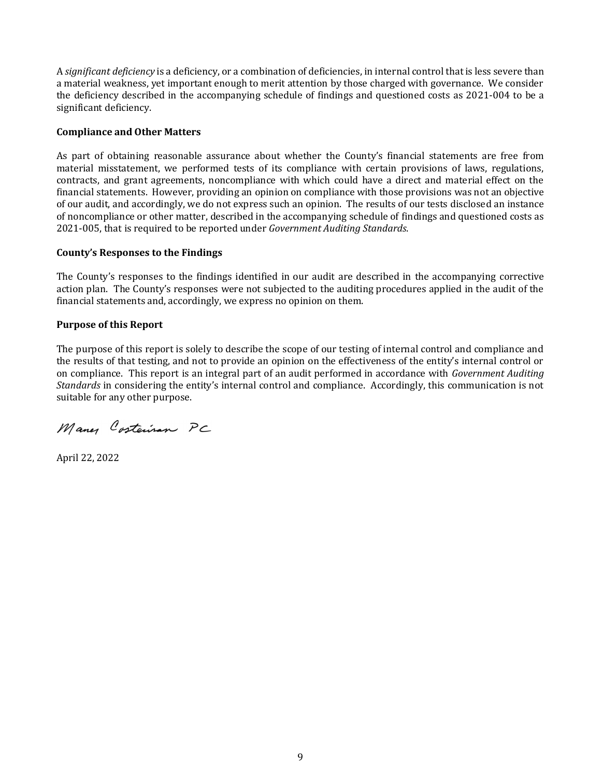A *significant deficiency* is a deficiency, or a combination of deficiencies, in internal control that is less severe than a material weakness, yet important enough to merit attention by those charged with governance. We consider the deficiency described in the accompanying schedule of findings and questioned costs as 2021-004 to be a significant deficiency.

### **Compliance and Other Matters**

As part of obtaining reasonable assurance about whether the County's financial statements are free from material misstatement, we performed tests of its compliance with certain provisions of laws, regulations, contracts, and grant agreements, noncompliance with which could have a direct and material effect on the financial statements. However, providing an opinion on compliance with those provisions was not an objective of our audit, and accordingly, we do not express such an opinion. The results of our tests disclosed an instance of noncompliance or other matter, described in the accompanying schedule of findings and questioned costs as 2021-005, that is required to be reported under *Government Auditing Standards*.

#### **County's Responses to the Findings**

The County's responses to the findings identified in our audit are described in the accompanying corrective action plan. The County's responses were not subjected to the auditing procedures applied in the audit of the financial statements and, accordingly, we express no opinion on them.

#### **Purpose of this Report**

The purpose of this report is solely to describe the scope of our testing of internal control and compliance and the results of that testing, and not to provide an opinion on the effectiveness of the entity's internal control or on compliance. This report is an integral part of an audit performed in accordance with *Government Auditing Standards* in considering the entity's internal control and compliance. Accordingly, this communication is not suitable for any other purpose.

Many Costeinan PC

April 22, 2022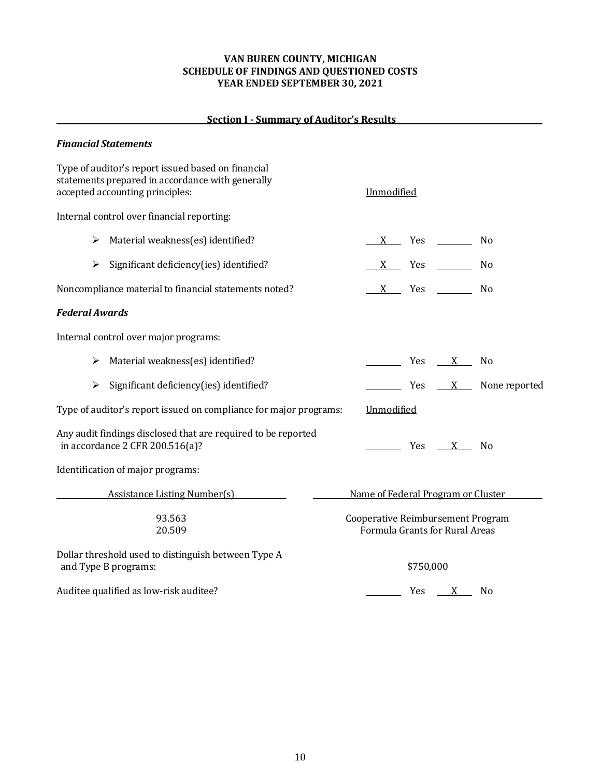### **VAN BUREN COUNTY, MICHIGAN SCHEDULE OF FINDINGS AND QUESTIONED COSTS YEAR ENDED SEPTEMBER 30, 2021**

## **Section I - Summary of Auditor's Results**

### *Financial Statements*

| Type of auditor's report issued based on financial<br>statements prepared in accordance with generally<br>accepted accounting principles: | Unmodified                                                                 |  |  |
|-------------------------------------------------------------------------------------------------------------------------------------------|----------------------------------------------------------------------------|--|--|
| Internal control over financial reporting:                                                                                                |                                                                            |  |  |
| Material weakness(es) identified?<br>➤                                                                                                    |                                                                            |  |  |
| Significant deficiency(ies) identified?<br>⋗                                                                                              | No.                                                                        |  |  |
| Noncompliance material to financial statements noted?                                                                                     | - No                                                                       |  |  |
| <b>Federal Awards</b>                                                                                                                     |                                                                            |  |  |
| Internal control over major programs:                                                                                                     |                                                                            |  |  |
| Material weakness(es) identified?<br>➤                                                                                                    | $\frac{\ }{\ }$ Yes $\frac{X}{Y}$ No                                       |  |  |
| Significant deficiency(ies) identified?<br>≻                                                                                              | $\frac{1}{\sqrt{1-x^2}}$ Yes $\frac{X}{X}$ None reported                   |  |  |
| Type of auditor's report issued on compliance for major programs:                                                                         | Unmodified                                                                 |  |  |
| Any audit findings disclosed that are required to be reported<br>in accordance 2 CFR 200.516(a)?                                          | $Yes$ $X$ No                                                               |  |  |
| Identification of major programs:                                                                                                         |                                                                            |  |  |
| <b>Assistance Listing Number(s)</b>                                                                                                       | Name of Federal Program or Cluster                                         |  |  |
| 93.563<br>20.509                                                                                                                          | Cooperative Reimbursement Program<br><b>Formula Grants for Rural Areas</b> |  |  |
| Dollar threshold used to distinguish between Type A<br>and Type B programs:                                                               | \$750,000                                                                  |  |  |

Auditee qualified as low-risk auditee?  $\overline{\phantom{a}}$  Yes  $\overline{\phantom{a}}$  No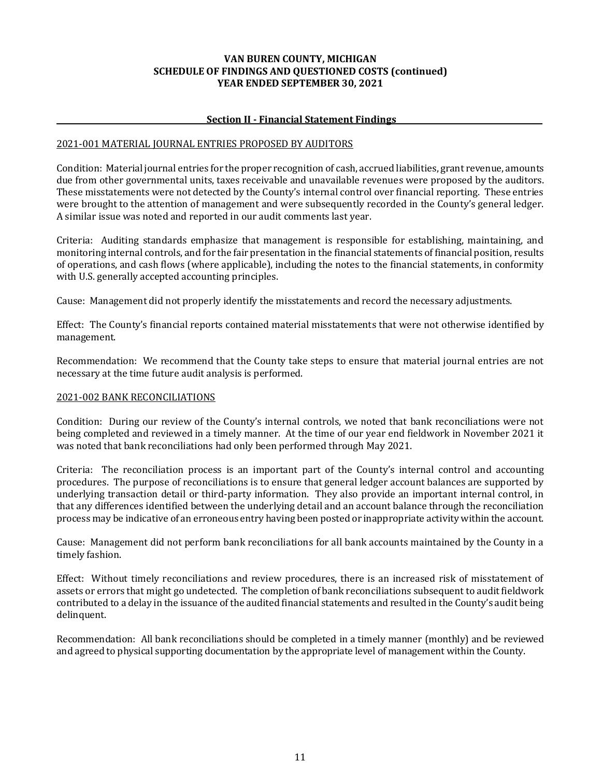### **VAN BUREN COUNTY, MICHIGAN SCHEDULE OF FINDINGS AND QUESTIONED COSTS (continued) YEAR ENDED SEPTEMBER 30, 2021**

### **Section II - Financial Statement Findings**

### 2021-001 MATERIAL JOURNAL ENTRIES PROPOSED BY AUDITORS

Condition: Material journal entries for the proper recognition of cash, accrued liabilities, grant revenue, amounts due from other governmental units, taxes receivable and unavailable revenues were proposed by the auditors. These misstatements were not detected by the County's internal control over financial reporting. These entries were brought to the attention of management and were subsequently recorded in the County's general ledger. A similar issue was noted and reported in our audit comments last year.

Criteria: Auditing standards emphasize that management is responsible for establishing, maintaining, and monitoring internal controls, and for the fair presentation in the financial statements of financial position, results of operations, and cash flows (where applicable), including the notes to the financial statements, in conformity with U.S. generally accepted accounting principles.

Cause: Management did not properly identify the misstatements and record the necessary adjustments.

Effect: The County's financial reports contained material misstatements that were not otherwise identified by management.

Recommendation: We recommend that the County take steps to ensure that material journal entries are not necessary at the time future audit analysis is performed.

#### 2021-002 BANK RECONCILIATIONS

Condition: During our review of the County's internal controls, we noted that bank reconciliations were not being completed and reviewed in a timely manner. At the time of our year end fieldwork in November 2021 it was noted that bank reconciliations had only been performed through May 2021.

Criteria: The reconciliation process is an important part of the County's internal control and accounting procedures. The purpose of reconciliations is to ensure that general ledger account balances are supported by underlying transaction detail or third-party information. They also provide an important internal control, in that any differences identified between the underlying detail and an account balance through the reconciliation process may be indicative of an erroneous entry having been posted or inappropriate activity within the account.

Cause: Management did not perform bank reconciliations for all bank accounts maintained by the County in a timely fashion.

Effect: Without timely reconciliations and review procedures, there is an increased risk of misstatement of assets or errors that might go undetected. The completion of bank reconciliations subsequent to audit fieldwork contributed to a delay in the issuance of the audited financial statements and resulted in the County's audit being delinquent.

Recommendation: All bank reconciliations should be completed in a timely manner (monthly) and be reviewed and agreed to physical supporting documentation by the appropriate level of management within the County.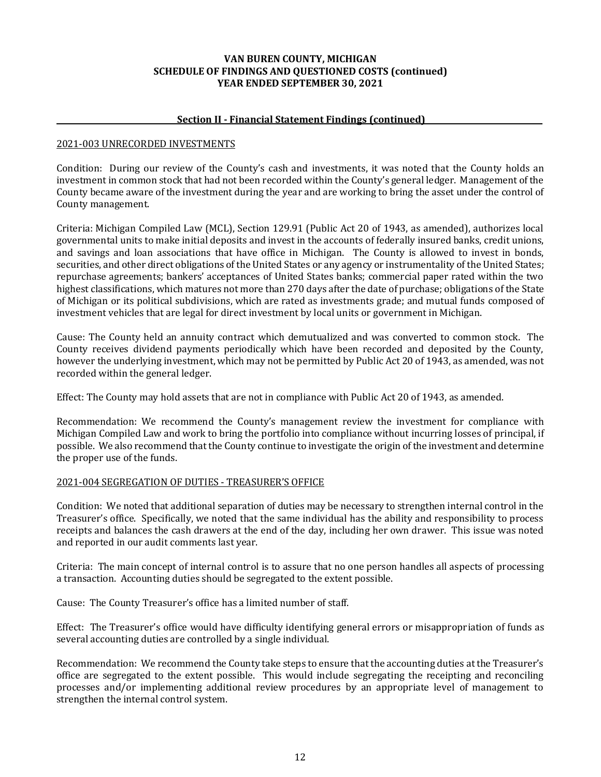### **VAN BUREN COUNTY, MICHIGAN SCHEDULE OF FINDINGS AND QUESTIONED COSTS (continued) YEAR ENDED SEPTEMBER 30, 2021**

### **Section II - Financial Statement Findings (continued)**

#### 2021-003 UNRECORDED INVESTMENTS

Condition: During our review of the County's cash and investments, it was noted that the County holds an investment in common stock that had not been recorded within the County's general ledger. Management of the County became aware of the investment during the year and are working to bring the asset under the control of County management.

Criteria: Michigan Compiled Law (MCL), Section 129.91 (Public Act 20 of 1943, as amended), authorizes local governmental units to make initial deposits and invest in the accounts of federally insured banks, credit unions, and savings and loan associations that have office in Michigan. The County is allowed to invest in bonds, securities, and other direct obligations of the United States or any agency or instrumentality of the United States; repurchase agreements; bankers' acceptances of United States banks; commercial paper rated within the two highest classifications, which matures not more than 270 days after the date of purchase; obligations of the State of Michigan or its political subdivisions, which are rated as investments grade; and mutual funds composed of investment vehicles that are legal for direct investment by local units or government in Michigan.

Cause: The County held an annuity contract which demutualized and was converted to common stock. The County receives dividend payments periodically which have been recorded and deposited by the County, however the underlying investment, which may not be permitted by Public Act 20 of 1943, as amended, was not recorded within the general ledger.

Effect: The County may hold assets that are not in compliance with Public Act 20 of 1943, as amended.

Recommendation: We recommend the County's management review the investment for compliance with Michigan Compiled Law and work to bring the portfolio into compliance without incurring losses of principal, if possible. We also recommend that the County continue to investigate the origin of the investment and determine the proper use of the funds.

### 2021-004 SEGREGATION OF DUTIES - TREASURER'S OFFICE

Condition: We noted that additional separation of duties may be necessary to strengthen internal control in the Treasurer's office. Specifically, we noted that the same individual has the ability and responsibility to process receipts and balances the cash drawers at the end of the day, including her own drawer. This issue was noted and reported in our audit comments last year.

Criteria: The main concept of internal control is to assure that no one person handles all aspects of processing a transaction. Accounting duties should be segregated to the extent possible.

Cause: The County Treasurer's office has a limited number of staff.

Effect: The Treasurer's office would have difficulty identifying general errors or misappropriation of funds as several accounting duties are controlled by a single individual.

Recommendation: We recommend the County take steps to ensure that the accounting duties at the Treasurer's office are segregated to the extent possible. This would include segregating the receipting and reconciling processes and/or implementing additional review procedures by an appropriate level of management to strengthen the internal control system.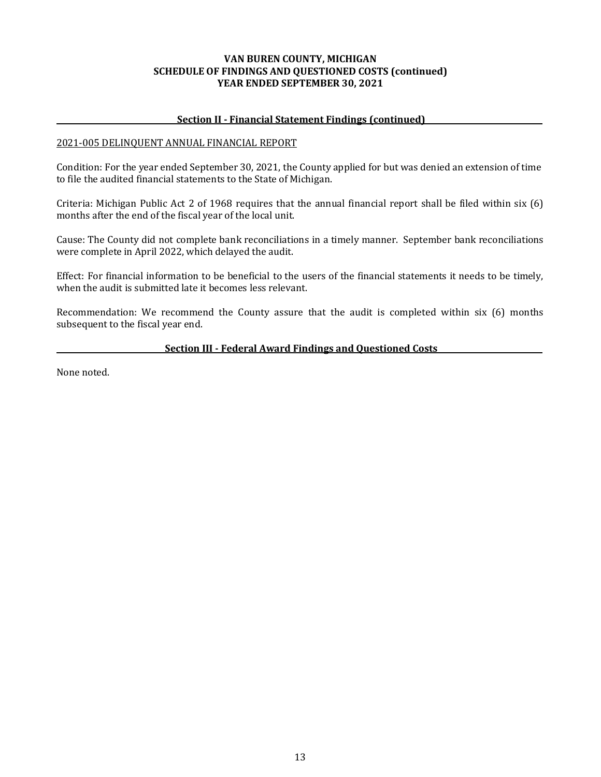### **VAN BUREN COUNTY, MICHIGAN SCHEDULE OF FINDINGS AND QUESTIONED COSTS (continued) YEAR ENDED SEPTEMBER 30, 2021**

### **Section II - Financial Statement Findings (continued)**

#### 2021-005 DELINQUENT ANNUAL FINANCIAL REPORT

Condition: For the year ended September 30, 2021, the County applied for but was denied an extension of time to file the audited financial statements to the State of Michigan.

Criteria: Michigan Public Act 2 of 1968 requires that the annual financial report shall be filed within six (6) months after the end of the fiscal year of the local unit.

Cause: The County did not complete bank reconciliations in a timely manner. September bank reconciliations were complete in April 2022, which delayed the audit.

Effect: For financial information to be beneficial to the users of the financial statements it needs to be timely, when the audit is submitted late it becomes less relevant.

Recommendation: We recommend the County assure that the audit is completed within six (6) months subsequent to the fiscal year end.

#### **Section III - Federal Award Findings and Questioned Costs**

None noted.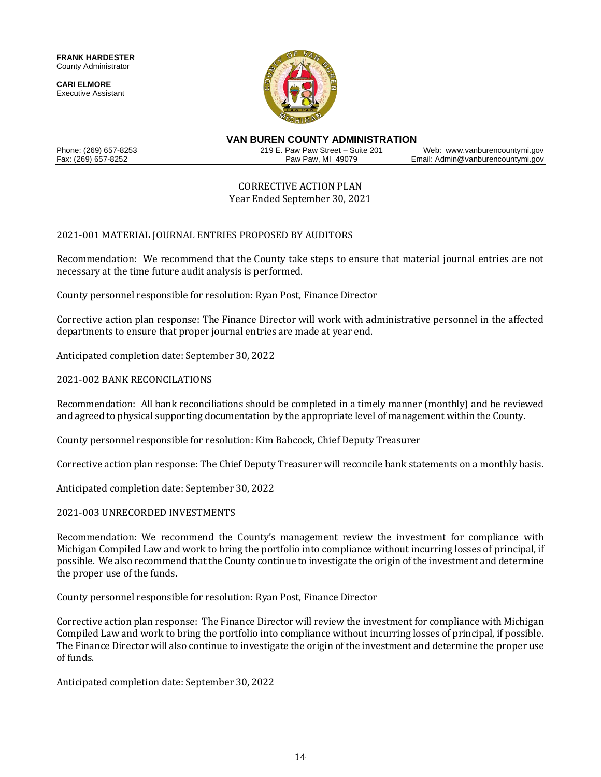**FRANK HARDESTER** County Administrator

**CARI ELMORE** Executive Assistant



**VAN BUREN COUNTY ADMINISTRATION**

Phone: (269) 657-8253 219 E. Paw Paw Street – Suite 201 Web: www.vanburencountymi.gov<br>Fax: (269) 657-8252 Fax: Paw Paw Paw NI 49079 Email: Admin@vanburencountymi.gov Email: Admin@vanburencountymi.gov

### CORRECTIVE ACTION PLAN Year Ended September 30, 2021

### 2021-001 MATERIAL JOURNAL ENTRIES PROPOSED BY AUDITORS

Recommendation: We recommend that the County take steps to ensure that material journal entries are not necessary at the time future audit analysis is performed.

County personnel responsible for resolution: Ryan Post, Finance Director

Corrective action plan response: The Finance Director will work with administrative personnel in the affected departments to ensure that proper journal entries are made at year end.

Anticipated completion date: September 30, 2022

#### 2021-002 BANK RECONCILATIONS

Recommendation: All bank reconciliations should be completed in a timely manner (monthly) and be reviewed and agreed to physical supporting documentation by the appropriate level of management within the County.

County personnel responsible for resolution: Kim Babcock, Chief Deputy Treasurer

Corrective action plan response: The Chief Deputy Treasurer will reconcile bank statements on a monthly basis.

Anticipated completion date: September 30, 2022

#### 2021-003 UNRECORDED INVESTMENTS

Recommendation: We recommend the County's management review the investment for compliance with Michigan Compiled Law and work to bring the portfolio into compliance without incurring losses of principal, if possible. We also recommend that the County continue to investigate the origin of the investment and determine the proper use of the funds.

County personnel responsible for resolution: Ryan Post, Finance Director

Corrective action plan response: The Finance Director will review the investment for compliance with Michigan Compiled Law and work to bring the portfolio into compliance without incurring losses of principal, if possible. The Finance Director will also continue to investigate the origin of the investment and determine the proper use of funds.

Anticipated completion date: September 30, 2022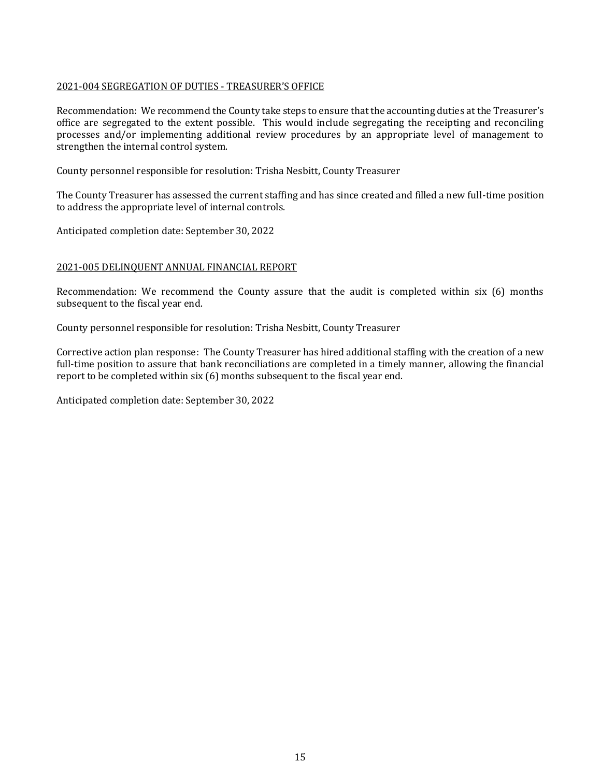### 2021-004 SEGREGATION OF DUTIES - TREASURER'S OFFICE

Recommendation: We recommend the County take steps to ensure that the accounting duties at the Treasurer's office are segregated to the extent possible. This would include segregating the receipting and reconciling processes and/or implementing additional review procedures by an appropriate level of management to strengthen the internal control system.

County personnel responsible for resolution: Trisha Nesbitt, County Treasurer

The County Treasurer has assessed the current staffing and has since created and filled a new full-time position to address the appropriate level of internal controls.

Anticipated completion date: September 30, 2022

#### 2021-005 DELINQUENT ANNUAL FINANCIAL REPORT

Recommendation: We recommend the County assure that the audit is completed within six (6) months subsequent to the fiscal year end.

County personnel responsible for resolution: Trisha Nesbitt, County Treasurer

Corrective action plan response: The County Treasurer has hired additional staffing with the creation of a new full-time position to assure that bank reconciliations are completed in a timely manner, allowing the financial report to be completed within six (6) months subsequent to the fiscal year end.

Anticipated completion date: September 30, 2022